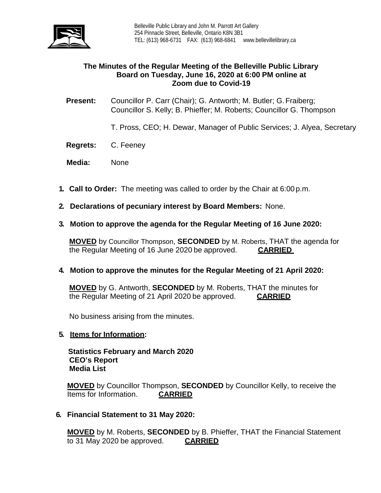

# **The Minutes of the Regular Meeting of the Belleville Public Library Board on Tuesday, June 16, 2020 at 6:00 PM online at Zoom due to Covid-19**

**Present:** Councillor P. Carr (Chair); G. Antworth; M. Butler; G. Fraiberg; Councillor S. Kelly; B. Phieffer; M. Roberts; Councillor G. Thompson

T. Pross, CEO; H. Dewar, Manager of Public Services; J. Alyea, Secretary

- **Regrets:** C. Feeney
- **Media:** None
- **1. Call to Order:** The meeting was called to order by the Chair at 6:00 p.m.
- **2. Declarations of pecuniary interest by Board Members:** None.
- **3. Motion to approve the agenda for the Regular Meeting of 16 June 2020:**

**MOVED** by Councillor Thompson, **SECONDED** by M. Roberts, THAT the agenda for the Regular Meeting of 16 June 2020 be approved. **CARRIED**

## **4. Motion to approve the minutes for the Regular Meeting of 21 April 2020:**

**MOVED** by G. Antworth, **SECONDED** by M. Roberts, THAT the minutes for the Regular Meeting of 21 April 2020 be approved. **CARRIED**

No business arising from the minutes.

#### **5. Items for Information:**

 **Statistics February and March 2020 CEO's Report Media List**

**MOVED** by Councillor Thompson, **SECONDED** by Councillor Kelly, to receive the Items for Information. **CARRIED** 

**6. Financial Statement to 31 May 2020:**

**MOVED** by M. Roberts, **SECONDED** by B. Phieffer, THAT the Financial Statement to 31 May 2020 be approved. **CARRIED**